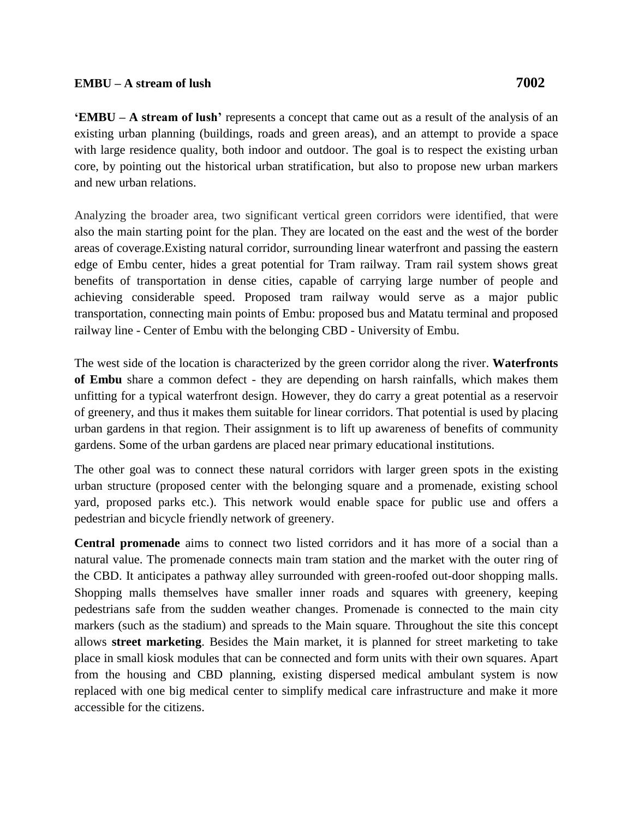**EMBU – A stream of lush'** represents a concept that came out as a result of the analysis of an existing urban planning (buildings, roads and green areas), and an attempt to provide a space with large residence quality, both indoor and outdoor. The goal is to respect the existing urban core, by pointing out the historical urban stratification, but also to propose new urban markers and new urban relations.

Analyzing the broader area, two significant vertical green corridors were identified, that were also the main starting point for the plan. They are located on the east and the west of the border areas of coverage.Existing natural corridor, surrounding linear waterfront and passing the eastern edge of Embu center, hides a great potential for Tram railway. Tram rail system shows great benefits of transportation in dense cities, capable of carrying large number of people and achieving considerable speed. Proposed tram railway would serve as a major public transportation, connecting main points of Embu: proposed bus and Matatu terminal and proposed railway line - Center of Embu with the belonging CBD - University of Embu.

The west side of the location is characterized by the green corridor along the river. **Waterfronts of Embu** share a common defect - they are depending on harsh rainfalls, which makes them unfitting for a typical waterfront design. However, they do carry a great potential as a reservoir of greenery, and thus it makes them suitable for linear corridors. That potential is used by placing urban gardens in that region. Their assignment is to lift up awareness of benefits of community gardens. Some of the urban gardens are placed near primary educational institutions.

The other goal was to connect these natural corridors with larger green spots in the existing urban structure (proposed center with the belonging square and a promenade, existing school yard, proposed parks etc.). This network would enable space for public use and offers a pedestrian and bicycle friendly network of greenery.

**Central promenade** aims to connect two listed corridors and it has more of a social than a natural value. The promenade connects main tram station and the market with the outer ring of the CBD. It anticipates a pathway alley surrounded with green-roofed out-door shopping malls. Shopping malls themselves have smaller inner roads and squares with greenery, keeping pedestrians safe from the sudden weather changes. Promenade is connected to the main city markers (such as the stadium) and spreads to the Main square. Throughout the site this concept allows **street marketing**. Besides the Main market, it is planned for street marketing to take place in small kiosk modules that can be connected and form units with their own squares. Apart from the housing and CBD planning, existing dispersed medical ambulant system is now replaced with one big medical center to simplify medical care infrastructure and make it more accessible for the citizens.